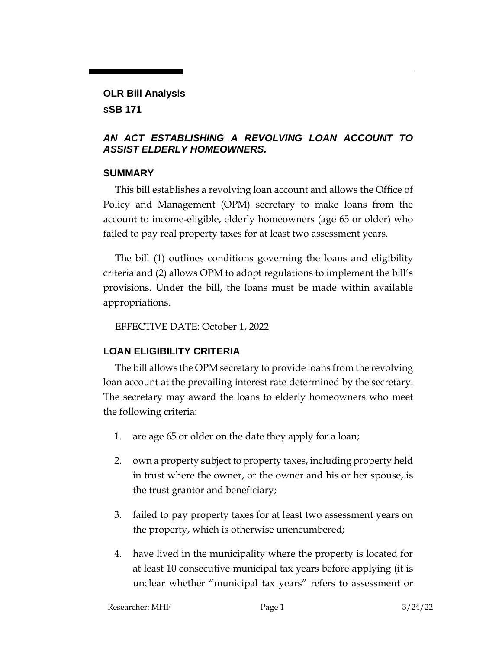#### **OLR Bill Analysis**

#### **sSB 171**

### *AN ACT ESTABLISHING A REVOLVING LOAN ACCOUNT TO ASSIST ELDERLY HOMEOWNERS.*

### **SUMMARY**

This bill establishes a revolving loan account and allows the Office of Policy and Management (OPM) secretary to make loans from the account to income-eligible, elderly homeowners (age 65 or older) who failed to pay real property taxes for at least two assessment years.

The bill (1) outlines conditions governing the loans and eligibility criteria and (2) allows OPM to adopt regulations to implement the bill's provisions. Under the bill, the loans must be made within available appropriations.

EFFECTIVE DATE: October 1, 2022

# **LOAN ELIGIBILITY CRITERIA**

The bill allows the OPM secretary to provide loans from the revolving loan account at the prevailing interest rate determined by the secretary. The secretary may award the loans to elderly homeowners who meet the following criteria:

- 1. are age 65 or older on the date they apply for a loan;
- 2. own a property subject to property taxes, including property held in trust where the owner, or the owner and his or her spouse, is the trust grantor and beneficiary;
- 3. failed to pay property taxes for at least two assessment years on the property, which is otherwise unencumbered;
- 4. have lived in the municipality where the property is located for at least 10 consecutive municipal tax years before applying (it is unclear whether "municipal tax years" refers to assessment or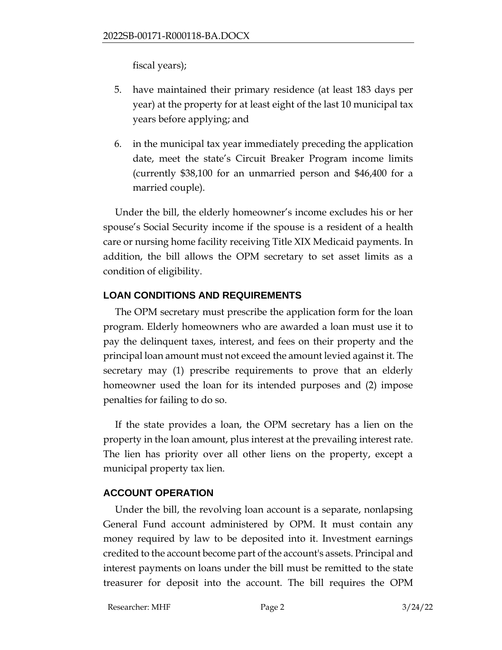fiscal years);

- 5. have maintained their primary residence (at least 183 days per year) at the property for at least eight of the last 10 municipal tax years before applying; and
- 6. in the municipal tax year immediately preceding the application date, meet the state's Circuit Breaker Program income limits (currently \$38,100 for an unmarried person and \$46,400 for a married couple).

Under the bill, the elderly homeowner's income excludes his or her spouse's Social Security income if the spouse is a resident of a health care or nursing home facility receiving Title XIX Medicaid payments. In addition, the bill allows the OPM secretary to set asset limits as a condition of eligibility.

## **LOAN CONDITIONS AND REQUIREMENTS**

The OPM secretary must prescribe the application form for the loan program. Elderly homeowners who are awarded a loan must use it to pay the delinquent taxes, interest, and fees on their property and the principal loan amount must not exceed the amount levied against it. The secretary may (1) prescribe requirements to prove that an elderly homeowner used the loan for its intended purposes and (2) impose penalties for failing to do so.

If the state provides a loan, the OPM secretary has a lien on the property in the loan amount, plus interest at the prevailing interest rate. The lien has priority over all other liens on the property, except a municipal property tax lien.

# **ACCOUNT OPERATION**

Under the bill, the revolving loan account is a separate, nonlapsing General Fund account administered by OPM. It must contain any money required by law to be deposited into it. Investment earnings credited to the account become part of the account's assets. Principal and interest payments on loans under the bill must be remitted to the state treasurer for deposit into the account. The bill requires the OPM